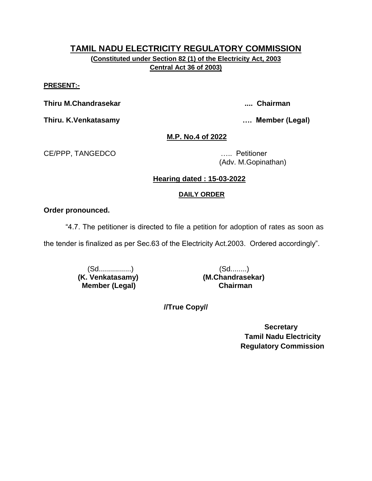# **TAMIL NADU ELECTRICITY REGULATORY COMMISSION (Constituted under Section 82 (1) of the Electricity Act, 2003**

**Central Act 36 of 2003)**

#### **PRESENT:-**

**Thiru M.Chandrasekar .... Chairman**

**Thiru. K.Venkatasamy …. Member (Legal)**

**M.P. No.4 of 2022**

CE/PPP, TANGEDCO ….. Petitioner

(Adv. M.Gopinathan)

# **Hearing dated : 15-03-2022**

# **DAILY ORDER**

## **Order pronounced.**

"4.7. The petitioner is directed to file a petition for adoption of rates as soon as

the tender is finalized as per Sec.63 of the Electricity Act.2003. Ordered accordingly".

(Sd................) (Sd........)  **(K. Venkatasamy) (M.Chandrasekar) Member (Legal) Chairman**

**//True Copy//**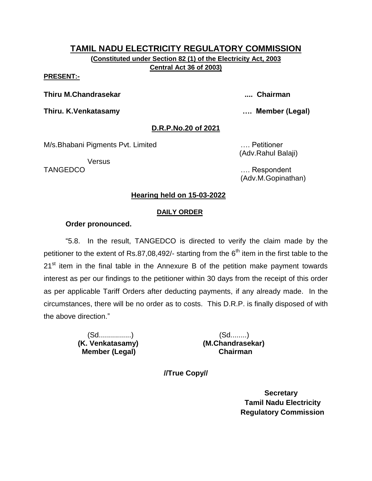# **TAMIL NADU ELECTRICITY REGULATORY COMMISSION (Constituted under Section 82 (1) of the Electricity Act, 2003**

**Central Act 36 of 2003)**

#### **PRESENT:-**

**Thiru M.Chandrasekar .... Chairman**

**Thiru. K.Venkatasamy …. Member (Legal)**

## **D.R.P.No.20 of 2021**

M/s.Bhabani Pigments Pvt. Limited …. Petitioner

Versus

(Adv.Rahul Balaji)

TANGEDCO …. Respondent (Adv.M.Gopinathan)

# **Hearing held on 15-03-2022**

#### **DAILY ORDER**

#### **Order pronounced.**

"5.8. In the result, TANGEDCO is directed to verify the claim made by the petitioner to the extent of Rs.87,08,492/- starting from the  $6<sup>th</sup>$  item in the first table to the  $21<sup>st</sup>$  item in the final table in the Annexure B of the petition make payment towards interest as per our findings to the petitioner within 30 days from the receipt of this order as per applicable Tariff Orders after deducting payments, if any already made. In the circumstances, there will be no order as to costs. This D.R.P. is finally disposed of with the above direction."

> (Sd................) (Sd........)  **Member (Legal) Chairman**

 **(K. Venkatasamy) (M.Chandrasekar)**

**//True Copy//**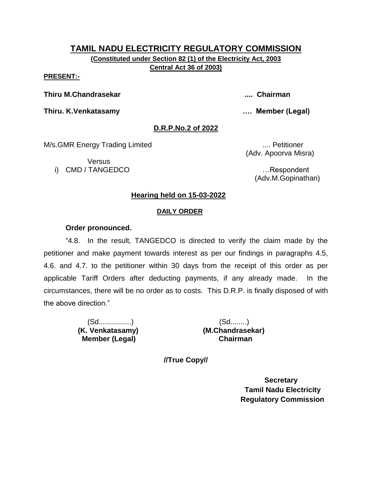**(Constituted under Section 82 (1) of the Electricity Act, 2003 Central Act 36 of 2003)**

#### **PRESENT:-**

**Thiru M.Chandrasekar .... Chairman**

**Thiru. K.Venkatasamy …. Member (Legal)**

## **D.R.P.No.2 of 2022**

M/s.GMR Energy Trading Limited ..... Petitioner

Versus i) CMD / TANGEDCO …Respondent

(Adv. Apoorva Misra)

(Adv.M.Gopinathan)

## **Hearing held on 15-03-2022**

#### **DAILY ORDER**

#### **Order pronounced.**

"4.8. In the result, TANGEDCO is directed to verify the claim made by the petitioner and make payment towards interest as per our findings in paragraphs 4.5, 4.6. and 4.7. to the petitioner within 30 days from the receipt of this order as per applicable Tariff Orders after deducting payments, if any already made. In the circumstances, there will be no order as to costs. This D.R.P. is finally disposed of with the above direction."

> (Sd................) (Sd........)  **Member (Legal) Chairman**

 **(K. Venkatasamy) (M.Chandrasekar)**

**//True Copy//**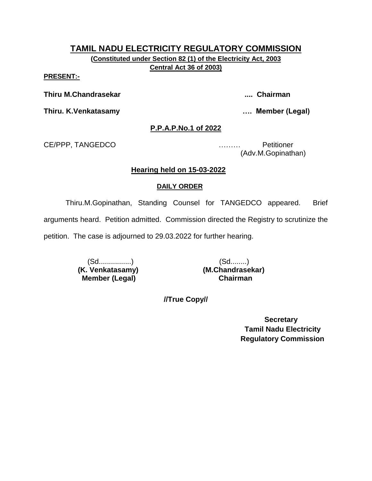**(Constituted under Section 82 (1) of the Electricity Act, 2003 Central Act 36 of 2003)**

#### **PRESENT:-**

**Thiru M.Chandrasekar .... Chairman**

**Thiru. K.Venkatasamy …. Member (Legal)**

#### **P.P.A.P.No.1 of 2022**

CE/PPP, TANGEDCO ……… Petitioner

(Adv.M.Gopinathan)

#### **Hearing held on 15-03-2022**

#### **DAILY ORDER**

Thiru.M.Gopinathan, Standing Counsel for TANGEDCO appeared. Brief arguments heard. Petition admitted. Commission directed the Registry to scrutinize the petition. The case is adjourned to 29.03.2022 for further hearing.

> (Sd................) (Sd........)  **Member (Legal) Chairman**

 **(K. Venkatasamy) (M.Chandrasekar)**

**//True Copy//**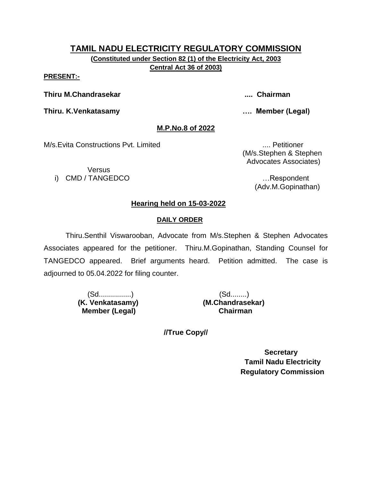**(Constituted under Section 82 (1) of the Electricity Act, 2003 Central Act 36 of 2003)**

**PRESENT:-**

**Thiru M.Chandrasekar .... Chairman**

**Thiru. K.Venkatasamy …. Member (Legal)**

# **M.P.No.8 of 2022**

M/s.Evita Constructions Pvt. Limited .... Petitioner

Versus i) CMD / TANGEDCO …Respondent

 (M/s.Stephen & Stephen Advocates Associates)

(Adv.M.Gopinathan)

# **Hearing held on 15-03-2022**

# **DAILY ORDER**

Thiru.Senthil Viswarooban, Advocate from M/s.Stephen & Stephen Advocates Associates appeared for the petitioner. Thiru.M.Gopinathan, Standing Counsel for TANGEDCO appeared. Brief arguments heard. Petition admitted. The case is adjourned to 05.04.2022 for filing counter.

> (Sd................) (Sd........) **Member (Legal)**

 **(K. Venkatasamy) (M.Chandrasekar)**

**//True Copy//**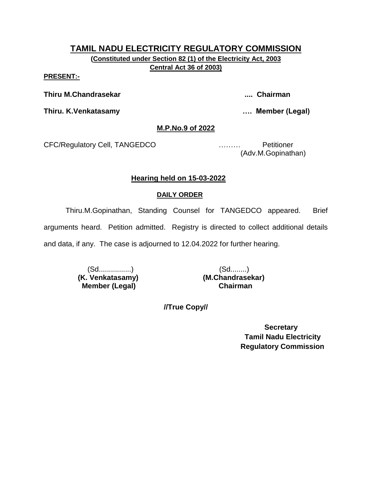**(Constituted under Section 82 (1) of the Electricity Act, 2003 Central Act 36 of 2003)**

**PRESENT:-**

**Thiru M.Chandrasekar .... Chairman**

**Thiru. K.Venkatasamy …. Member (Legal)**

## **M.P.No.9 of 2022**

CFC/Regulatory Cell, TANGEDCO ……… Petitioner

(Adv.M.Gopinathan)

# **Hearing held on 15-03-2022**

# **DAILY ORDER**

Thiru.M.Gopinathan, Standing Counsel for TANGEDCO appeared. Brief

arguments heard. Petition admitted. Registry is directed to collect additional details

and data, if any. The case is adjourned to 12.04.2022 for further hearing.

(Sd................) (Sd........)  **(K. Venkatasamy) (M.Chandrasekar) Member (Legal)** 

**//True Copy//**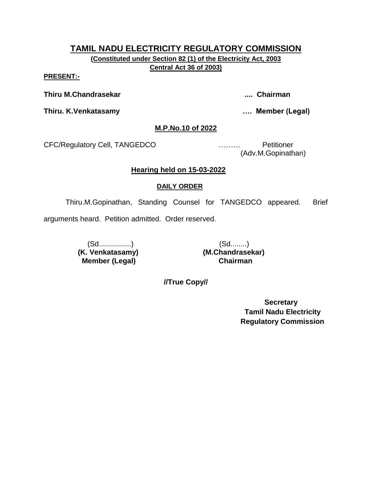**(Constituted under Section 82 (1) of the Electricity Act, 2003 Central Act 36 of 2003)**

**PRESENT:-**

**Thiru M.Chandrasekar .... Chairman**

**Thiru. K.Venkatasamy …. Member (Legal)**

#### **M.P.No.10 of 2022**

CFC/Regulatory Cell, TANGEDCO ……… Petitioner

(Adv.M.Gopinathan)

#### **Hearing held on 15-03-2022**

#### **DAILY ORDER**

Thiru.M.Gopinathan, Standing Counsel for TANGEDCO appeared. Brief

arguments heard. Petition admitted. Order reserved.

(Sd................) (Sd........)  **(K. Venkatasamy) (M.Chandrasekar) Member (Legal) Chairman**

**//True Copy//**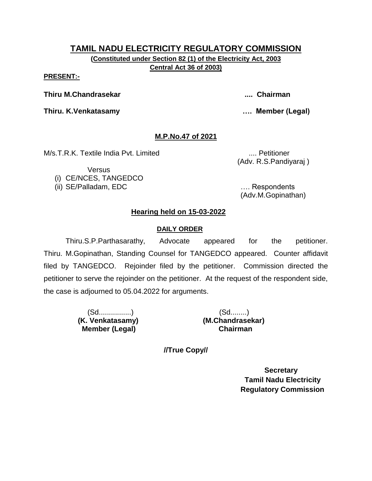**(Constituted under Section 82 (1) of the Electricity Act, 2003 Central Act 36 of 2003)**

#### **PRESENT:-**

**Thiru M.Chandrasekar .... Chairman**

**Thiru. K.Venkatasamy …. Member (Legal)**

# **M.P.No.47 of 2021**

M/s.T.R.K. Textile India Pvt. Limited .... Petitioner

Versus (i) CE/NCES, TANGEDCO (Adv. R.S.Pandiyaraj )

(ii) SE/Palladam, EDC …. Respondents (Adv.M.Gopinathan)

# **Hearing held on 15-03-2022**

## **DAILY ORDER**

Thiru.S.P.Parthasarathy, Advocate appeared for the petitioner. Thiru. M.Gopinathan, Standing Counsel for TANGEDCO appeared. Counter affidavit filed by TANGEDCO. Rejoinder filed by the petitioner. Commission directed the petitioner to serve the rejoinder on the petitioner. At the request of the respondent side, the case is adjourned to 05.04.2022 for arguments.

> (Sd................) (Sd........)  **Member (Legal) Chairman**

 **(K. Venkatasamy) (M.Chandrasekar)**

**//True Copy//**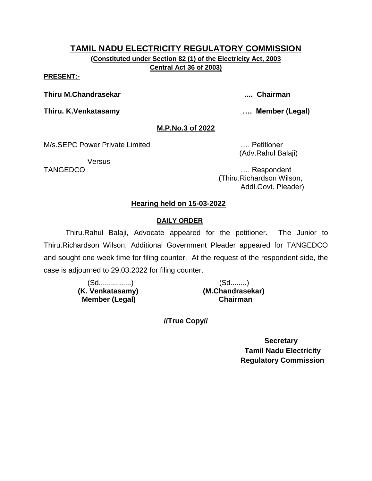**(Constituted under Section 82 (1) of the Electricity Act, 2003 Central Act 36 of 2003)**

#### **PRESENT:-**

**Thiru M.Chandrasekar .... Chairman**

**Thiru. K.Venkatasamy …. Member (Legal)**

#### **M.P.No.3 of 2022**

M/s.SEPC Power Private Limited **Example 20** Petitioner

**Versus** 

(Adv.Rahul Balaji)

TANGEDCO …. Respondent (Thiru.Richardson Wilson, Addl.Govt. Pleader)

# **Hearing held on 15-03-2022**

## **DAILY ORDER**

Thiru.Rahul Balaji, Advocate appeared for the petitioner. The Junior to Thiru.Richardson Wilson, Additional Government Pleader appeared for TANGEDCO and sought one week time for filing counter. At the request of the respondent side, the case is adjourned to 29.03.2022 for filing counter.

> (Sd................) (Sd........)  **Member (Legal) Chairman**

 **(K. Venkatasamy) (M.Chandrasekar)**

**//True Copy//**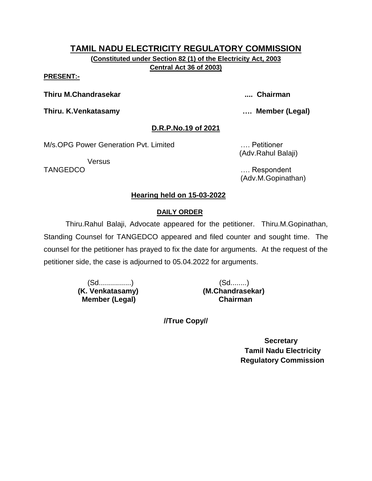**(Constituted under Section 82 (1) of the Electricity Act, 2003 Central Act 36 of 2003)**

#### **PRESENT:-**

**Thiru M.Chandrasekar .... Chairman**

**Thiru. K.Venkatasamy …. Member (Legal)**

# **D.R.P.No.19 of 2021**

M/s.OPG Power Generation Pvt. Limited …. Petitioner

**Versus** 

(Adv.Rahul Balaji)

TANGEDCO …. Respondent (Adv.M.Gopinathan)

# **Hearing held on 15-03-2022**

# **DAILY ORDER**

Thiru.Rahul Balaji, Advocate appeared for the petitioner. Thiru.M.Gopinathan, Standing Counsel for TANGEDCO appeared and filed counter and sought time. The counsel for the petitioner has prayed to fix the date for arguments. At the request of the petitioner side, the case is adjourned to 05.04.2022 for arguments.

> (Sd................) (Sd........)  **Member (Legal) Chairman**

 **(K. Venkatasamy) (M.Chandrasekar)**

**//True Copy//**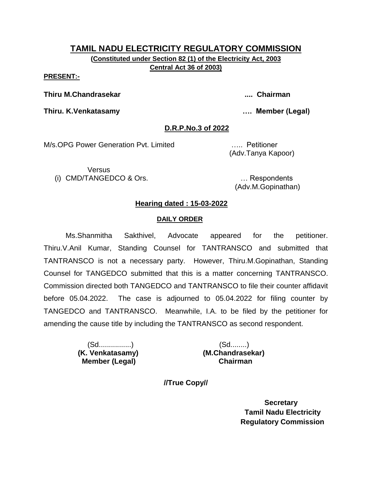**(Constituted under Section 82 (1) of the Electricity Act, 2003 Central Act 36 of 2003)**

**PRESENT:-**

**Thiru M.Chandrasekar .... Chairman**

**Thiru. K.Venkatasamy …. Member (Legal)**

# **D.R.P.No.3 of 2022**

M/s.OPG Power Generation Pvt. Limited ….. Petitioner

(Adv.Tanya Kapoor)

**Versus** (i) CMD/TANGEDCO & Ors. … Respondents

(Adv.M.Gopinathan)

# **Hearing dated : 15-03-2022**

# **DAILY ORDER**

Ms.Shanmitha Sakthivel, Advocate appeared for the petitioner. Thiru.V.Anil Kumar, Standing Counsel for TANTRANSCO and submitted that TANTRANSCO is not a necessary party. However, Thiru.M.Gopinathan, Standing Counsel for TANGEDCO submitted that this is a matter concerning TANTRANSCO. Commission directed both TANGEDCO and TANTRANSCO to file their counter affidavit before 05.04.2022. The case is adjourned to 05.04.2022 for filing counter by TANGEDCO and TANTRANSCO. Meanwhile, I.A. to be filed by the petitioner for amending the cause title by including the TANTRANSCO as second respondent.

> (Sd................) (Sd........)  **Member (Legal) Chairman**

 **(K. Venkatasamy) (M.Chandrasekar)**

**//True Copy//**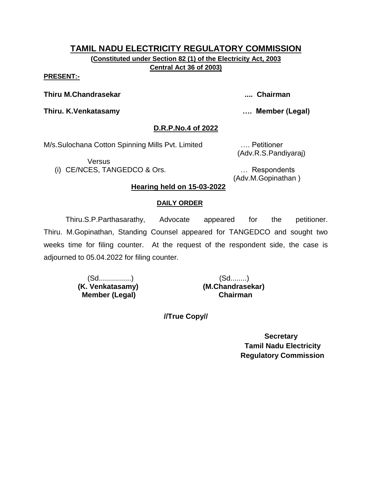**(Constituted under Section 82 (1) of the Electricity Act, 2003 Central Act 36 of 2003)**

#### **PRESENT:-**

**Thiru M.Chandrasekar .... Chairman**

**Thiru. K.Venkatasamy …. Member (Legal)**

#### **D.R.P.No.4 of 2022**

M/s.Sulochana Cotton Spinning Mills Pvt. Limited …. Petitioner

Versus

(i) CE/NCES, TANGEDCO & Ors. … Respondents

(Adv.R.S.Pandiyaraj)

(Adv.M.Gopinathan )

## **Hearing held on 15-03-2022**

#### **DAILY ORDER**

Thiru.S.P.Parthasarathy, Advocate appeared for the petitioner. Thiru. M.Gopinathan, Standing Counsel appeared for TANGEDCO and sought two weeks time for filing counter. At the request of the respondent side, the case is adjourned to 05.04.2022 for filing counter.

> **(K. Venkatasamy) (M.Chandrasekar) Member (Legal) Chairman**

**//True Copy//**

 **Secretary Tamil Nadu Electricity Regulatory Commission**

# (Sd................) (Sd........)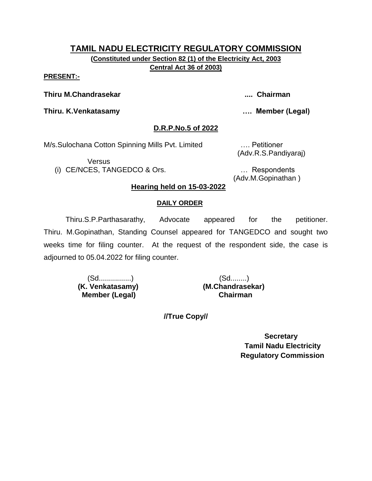**(Constituted under Section 82 (1) of the Electricity Act, 2003 Central Act 36 of 2003)**

#### **PRESENT:-**

**Thiru M.Chandrasekar .... Chairman**

**Thiru. K.Venkatasamy …. Member (Legal)**

#### **D.R.P.No.5 of 2022**

M/s.Sulochana Cotton Spinning Mills Pvt. Limited …. Petitioner

Versus

(i) CE/NCES, TANGEDCO & Ors. … Respondents

(Adv.R.S.Pandiyaraj)

(Adv.M.Gopinathan )

## **Hearing held on 15-03-2022**

#### **DAILY ORDER**

Thiru.S.P.Parthasarathy, Advocate appeared for the petitioner. Thiru. M.Gopinathan, Standing Counsel appeared for TANGEDCO and sought two weeks time for filing counter. At the request of the respondent side, the case is adjourned to 05.04.2022 for filing counter.

> (Sd................) (Sd........)  **(K. Venkatasamy) (M.Chandrasekar) Member (Legal) Chairman**

**//True Copy//**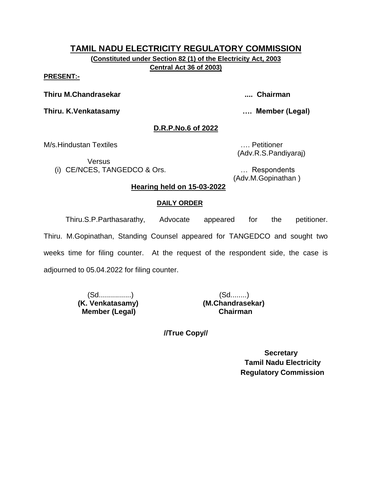**(Constituted under Section 82 (1) of the Electricity Act, 2003 Central Act 36 of 2003)**

#### **PRESENT:-**

**Thiru M.Chandrasekar .... Chairman**

**Thiru. K.Venkatasamy …. Member (Legal)**

#### **D.R.P.No.6 of 2022**

M/s.Hindustan Textiles …. Petitioner

**Versus** 

(i) CE/NCES, TANGEDCO & Ors. … Respondents

(Adv.R.S.Pandiyaraj)

(Adv.M.Gopinathan )

#### **Hearing held on 15-03-2022**

#### **DAILY ORDER**

Thiru.S.P.Parthasarathy, Advocate appeared for the petitioner. Thiru. M.Gopinathan, Standing Counsel appeared for TANGEDCO and sought two weeks time for filing counter. At the request of the respondent side, the case is adjourned to 05.04.2022 for filing counter.

> **(K. Venkatasamy) Member (Legal) Chairman**

(Sd................)<br>Venkatasamy) (M.Chandrasekar)

**//True Copy//**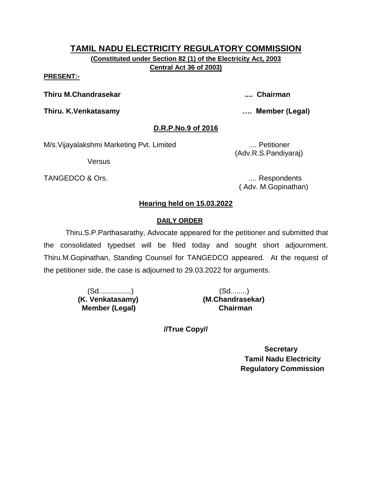**(Constituted under Section 82 (1) of the Electricity Act, 2003 Central Act 36 of 2003)**

#### **PRESENT:-**

**Thiru M.Chandrasekar .... Chairman**

**Thiru. K.Venkatasamy …. Member (Legal)**

# **D.R.P.No.9 of 2016**

M/s. Vijayalakshmi Marketing Pvt. Limited .... Petitioner

Versus

TANGEDCO & Ors. .... Respondents

(Adv.R.S.Pandiyaraj)

( Adv. M.Gopinathan)

# **Hearing held on 15.03.2022**

# **DAILY ORDER**

Thiru.S.P.Parthasarathy, Advocate appeared for the petitioner and submitted that the consolidated typedset will be filed today and sought short adjournment. Thiru.M.Gopinathan, Standing Counsel for TANGEDCO appeared. At the request of the petitioner side, the case is adjourned to 29.03.2022 for arguments.

> (Sd................) (Sd........)  **(K. Venkatasamy) (M.Chandrasekar) Member (Legal) Chairman**

**//True Copy//**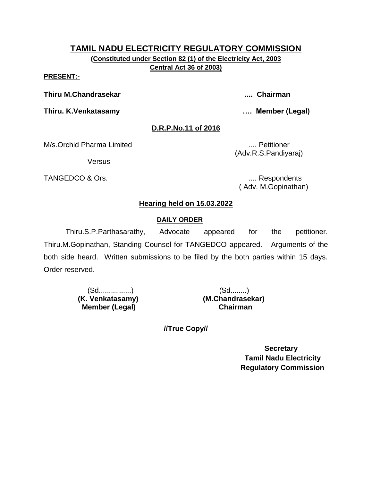**(Constituted under Section 82 (1) of the Electricity Act, 2003 Central Act 36 of 2003)**

#### **PRESENT:-**

**Thiru M.Chandrasekar .... Chairman**

**Thiru. K.Venkatasamy …. Member (Legal)**

## **D.R.P.No.11 of 2016**

M/s.Orchid Pharma Limited .... Petitioner

**Versus** 

TANGEDCO & Ors. .... Respondents

(Adv.R.S.Pandiyaraj)

( Adv. M.Gopinathan)

# **Hearing held on 15.03.2022**

## **DAILY ORDER**

Thiru.S.P.Parthasarathy, Advocate appeared for the petitioner. Thiru.M.Gopinathan, Standing Counsel for TANGEDCO appeared. Arguments of the both side heard. Written submissions to be filed by the both parties within 15 days. Order reserved.

> (Sd................) (Sd........)  **(K. Venkatasamy) (M.Chandrasekar) Member (Legal) Chairman**

**//True Copy//**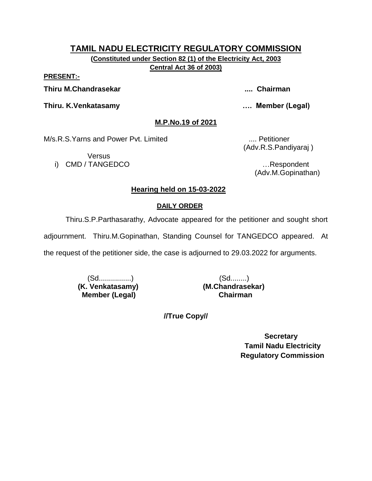**(Constituted under Section 82 (1) of the Electricity Act, 2003 Central Act 36 of 2003)**

**PRESENT:-**

**Thiru M.Chandrasekar .... Chairman**

**Thiru. K.Venkatasamy …. Member (Legal)**

**M.P.No.19 of 2021**

M/s.R.S.Yarns and Power Pvt. Limited .... Petitioner

**Versus** i) CMD / TANGEDCO **intervaluation and the contract of the contract of the contract of the contract of the contract of the contract of the contract of the contract of the contract of the contract of the contract of the cont** 

(Adv.R.S.Pandiyaraj )

(Adv.M.Gopinathan)

# **Hearing held on 15-03-2022**

#### **DAILY ORDER**

Thiru.S.P.Parthasarathy, Advocate appeared for the petitioner and sought short

adjournment. Thiru.M.Gopinathan, Standing Counsel for TANGEDCO appeared. At

the request of the petitioner side, the case is adjourned to 29.03.2022 for arguments.

(Sd................) (Sd........)  **(K. Venkatasamy) (M.Chandrasekar) Member (Legal) Chairman**

**//True Copy//**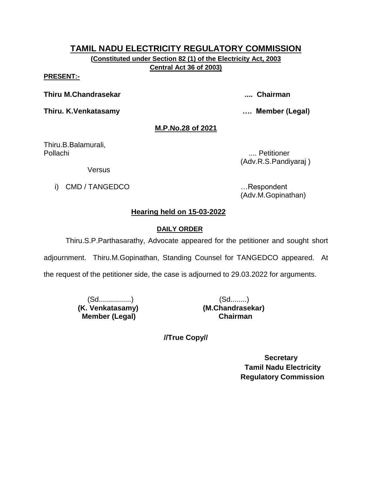**(Constituted under Section 82 (1) of the Electricity Act, 2003 Central Act 36 of 2003)**

#### **PRESENT:-**

**Thiru M.Chandrasekar .... Chairman**

**Thiru. K.Venkatasamy …. Member (Legal)**

## **M.P.No.28 of 2021**

Thiru.B.Balamurali, Pollachi .... Petitioner

(Adv.R.S.Pandiyaraj )

Versus

i) CMD / TANGEDCO **in the set of the set of the set of the set of the set of the set of the set of the set of the set of the set of the set of the set of the set of the set of the set of the set of the set of the set of th** 

(Adv.M.Gopinathan)

# **Hearing held on 15-03-2022**

## **DAILY ORDER**

Thiru.S.P.Parthasarathy, Advocate appeared for the petitioner and sought short

adjournment. Thiru.M.Gopinathan, Standing Counsel for TANGEDCO appeared. At

the request of the petitioner side, the case is adjourned to 29.03.2022 for arguments.

(Sd................) (Sd........)  **Member (Legal) Chairman**

 **(K. Venkatasamy) (M.Chandrasekar)**

**//True Copy//**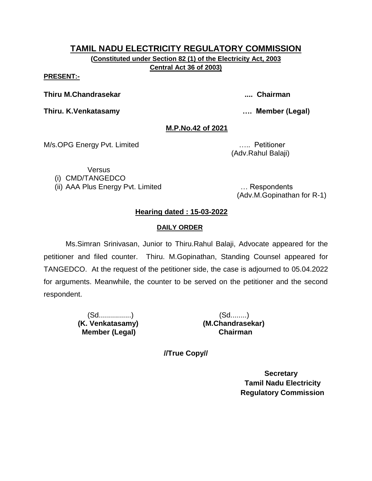**(Constituted under Section 82 (1) of the Electricity Act, 2003 Central Act 36 of 2003)**

#### **PRESENT:-**

**Thiru M.Chandrasekar .... Chairman**

**Thiru. K.Venkatasamy …. Member (Legal)**

#### **M.P.No.42 of 2021**

M/s.OPG Energy Pvt. Limited ….. Petitioner

(Adv.Rahul Balaji)

**Versus** (i) CMD/TANGEDCO

(ii) AAA Plus Energy Pvt. Limited … Respondents

(Adv.M.Gopinathan for R-1)

# **Hearing dated : 15-03-2022**

#### **DAILY ORDER**

Ms.Simran Srinivasan, Junior to Thiru.Rahul Balaji, Advocate appeared for the petitioner and filed counter. Thiru. M.Gopinathan, Standing Counsel appeared for TANGEDCO. At the request of the petitioner side, the case is adjourned to 05.04.2022 for arguments. Meanwhile, the counter to be served on the petitioner and the second respondent.

> (Sd................) (Sd........)  **Member (Legal) Chairman**

 **(K. Venkatasamy) (M.Chandrasekar)**

**//True Copy//**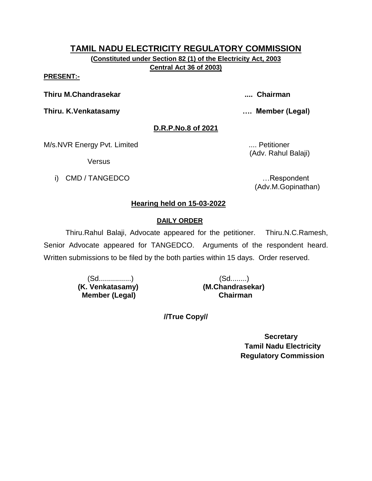**(Constituted under Section 82 (1) of the Electricity Act, 2003 Central Act 36 of 2003)**

#### **PRESENT:-**

**Thiru M.Chandrasekar .... Chairman**

**Thiru. K.Venkatasamy …. Member (Legal)**

# **D.R.P.No.8 of 2021**

M/s.NVR Energy Pvt. Limited ..... **MILES 2008** .... Petitioner

**Versus** 

i) CMD / TANGEDCO …Respondent

(Adv. Rahul Balaji)

(Adv.M.Gopinathan)

# **Hearing held on 15-03-2022**

# **DAILY ORDER**

Thiru.Rahul Balaji, Advocate appeared for the petitioner. Thiru.N.C.Ramesh, Senior Advocate appeared for TANGEDCO. Arguments of the respondent heard. Written submissions to be filed by the both parties within 15 days. Order reserved.

> (Sd................) (Sd........)  **(K. Venkatasamy) (M.Chandrasekar) Member (Legal) Chairman**

**//True Copy//**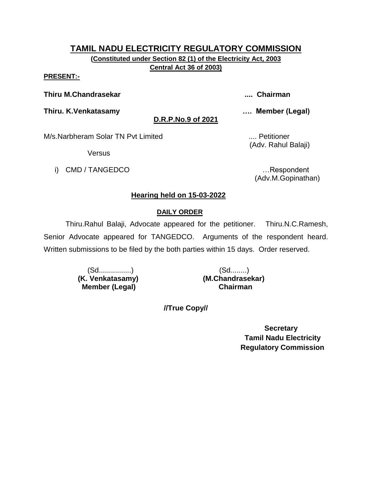**(Constituted under Section 82 (1) of the Electricity Act, 2003 Central Act 36 of 2003)**

#### **PRESENT:-**

**Thiru M.Chandrasekar .... Chairman**

**Thiru. K.Venkatasamy …. Member (Legal)**

**D.R.P.No.9 of 2021**

M/s.Narbheram Solar TN Pvt Limited ..... Petitioner

**Versus** 

i) CMD / TANGEDCO …Respondent

(Adv. Rahul Balaji)

(Adv.M.Gopinathan)

# **Hearing held on 15-03-2022**

## **DAILY ORDER**

Thiru.Rahul Balaji, Advocate appeared for the petitioner. Thiru.N.C.Ramesh, Senior Advocate appeared for TANGEDCO. Arguments of the respondent heard. Written submissions to be filed by the both parties within 15 days. Order reserved.

> (Sd................) (Sd........)  **(K. Venkatasamy) (M.Chandrasekar) Member (Legal)**

**//True Copy//**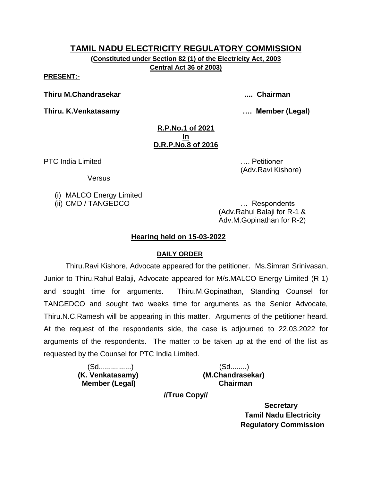**(Constituted under Section 82 (1) of the Electricity Act, 2003 Central Act 36 of 2003)**

**PRESENT:-**

**Thiru M.Chandrasekar .... Chairman**

**Thiru. K.Venkatasamy …. Member (Legal)**

(Adv.Ravi Kishore)

#### **R.P.No.1 of 2021 In D.R.P.No.8 of 2016**

PTC India Limited **Exercise 2018** 2019 12:00:00 MHz 2019 12:00:00 MHz 2019 12:00:00 MHz 2019 12:00:00 MHz 2019 12:00:00 MHz 2019 12:00:00 MHz 2019 12:00:00 MHz 2019 12:00:00 MHz 2019 12:00:00 MHz 2019 12:00:00 MHz 2019 12:

**Versus** 

(i) MALCO Energy Limited

(ii) CMD / TANGEDCO … Respondents (Adv.Rahul Balaji for R-1 & Adv.M.Gopinathan for R-2)

# **Hearing held on 15-03-2022**

# **DAILY ORDER**

Thiru.Ravi Kishore, Advocate appeared for the petitioner. Ms.Simran Srinivasan, Junior to Thiru.Rahul Balaji, Advocate appeared for M/s.MALCO Energy Limited (R-1) and sought time for arguments. Thiru.M.Gopinathan, Standing Counsel for TANGEDCO and sought two weeks time for arguments as the Senior Advocate, Thiru.N.C.Ramesh will be appearing in this matter. Arguments of the petitioner heard. At the request of the respondents side, the case is adjourned to 22.03.2022 for arguments of the respondents. The matter to be taken up at the end of the list as requested by the Counsel for PTC India Limited.

> (Sd................) (Sd........)  **Member (Legal) Chairman**

 **(K. Venkatasamy) (M.Chandrasekar)**

**//True Copy//**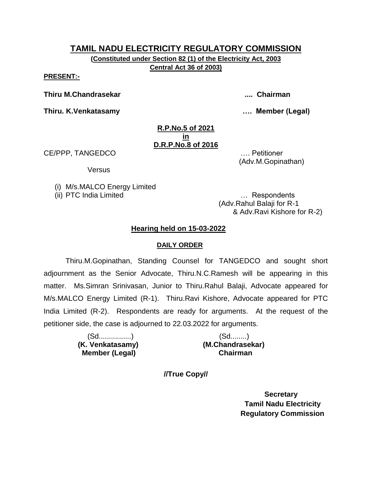**(Constituted under Section 82 (1) of the Electricity Act, 2003 Central Act 36 of 2003)**

**PRESENT:-**

**Thiru M.Chandrasekar .... Chairman**

**Thiru. K.Venkatasamy …. Member (Legal)**

#### **R.P.No.5 of 2021 in D.R.P.No.8 of 2016**

CE/PPP, TANGEDCO …. Petitioner

Versus

(i) M/s.MALCO Energy Limited

(ii) PTC India Limited … Respondents

(Adv.Rahul Balaji for R-1 & Adv.Ravi Kishore for R-2)

(Adv.M.Gopinathan)

## **Hearing held on 15-03-2022**

#### **DAILY ORDER**

Thiru.M.Gopinathan, Standing Counsel for TANGEDCO and sought short adjournment as the Senior Advocate, Thiru.N.C.Ramesh will be appearing in this matter. Ms.Simran Srinivasan, Junior to Thiru.Rahul Balaji, Advocate appeared for M/s.MALCO Energy Limited (R-1). Thiru.Ravi Kishore, Advocate appeared for PTC India Limited (R-2). Respondents are ready for arguments. At the request of the petitioner side, the case is adjourned to 22.03.2022 for arguments.

| (Sd……………)        | (Sd…….)          |
|------------------|------------------|
| (K. Venkatasamy) | (M.Chandrasekar) |
| Member (Legal)   | <b>Chairman</b>  |

**//True Copy//**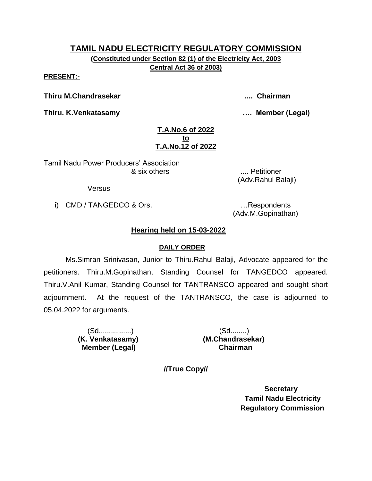**(Constituted under Section 82 (1) of the Electricity Act, 2003 Central Act 36 of 2003)**

**PRESENT:-**

**Thiru M.Chandrasekar .... Chairman**

**Thiru. K.Venkatasamy …. Member (Legal)**

#### **T.A.No.6 of 2022 to T.A.No.12 of 2022**

Tamil Nadu Power Producers' Association & six others .... Petitioner

Versus

i) CMD / TANGEDCO & Ors. …Respondents

(Adv.M.Gopinathan)

(Adv.Rahul Balaji)

# **Hearing held on 15-03-2022**

## **DAILY ORDER**

Ms.Simran Srinivasan, Junior to Thiru.Rahul Balaji, Advocate appeared for the petitioners. Thiru.M.Gopinathan, Standing Counsel for TANGEDCO appeared. Thiru.V.Anil Kumar, Standing Counsel for TANTRANSCO appeared and sought short adjournment. At the request of the TANTRANSCO, the case is adjourned to 05.04.2022 for arguments.

> (Sd................) (Sd........)  **Member (Legal) Chairman**

 **(K. Venkatasamy) (M.Chandrasekar)**

**//True Copy//**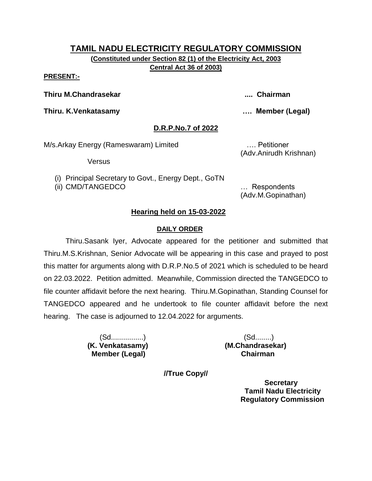**(Constituted under Section 82 (1) of the Electricity Act, 2003 Central Act 36 of 2003)**

#### **PRESENT:-**

**Thiru M.Chandrasekar .... Chairman**

**Thiru. K.Venkatasamy …. Member (Legal)**

## **D.R.P.No.7 of 2022**

M/s.Arkay Energy (Rameswaram) Limited …. Petitioner

Versus

(i) Principal Secretary to Govt., Energy Dept., GoTN

(ii) CMD/TANGEDCO … Respondents

(Adv.Anirudh Krishnan)

(Adv.M.Gopinathan)

## **Hearing held on 15-03-2022**

#### **DAILY ORDER**

Thiru.Sasank Iyer, Advocate appeared for the petitioner and submitted that Thiru.M.S.Krishnan, Senior Advocate will be appearing in this case and prayed to post this matter for arguments along with D.R.P.No.5 of 2021 which is scheduled to be heard on 22.03.2022. Petition admitted. Meanwhile, Commission directed the TANGEDCO to file counter affidavit before the next hearing. Thiru.M.Gopinathan, Standing Counsel for TANGEDCO appeared and he undertook to file counter affidavit before the next hearing. The case is adjourned to 12.04.2022 for arguments.

 **Member (Legal) Chairman**

 (Sd................) (Sd........) **(K. Venkatasamy) (M.Chandrasekar)**

**//True Copy//**